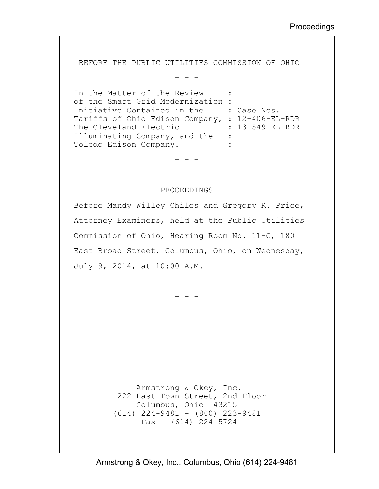BEFORE THE PUBLIC UTILITIES COMMISSION OF OHIO

- - -

In the Matter of the Review of the Smart Grid Modernization : Initiative Contained in the : Case Nos. Tariffs of Ohio Edison Company, : 12-406-EL-RDR<br>The Cleveland Electric : 13-549-EL-RDR The Cleveland Electric Illuminating Company, and the : Toledo Edison Company. :

- - -

## PROCEEDINGS

Before Mandy Willey Chiles and Gregory R. Price, Attorney Examiners, held at the Public Utilities Commission of Ohio, Hearing Room No. 11-C, 180 East Broad Street, Columbus, Ohio, on Wednesday, July 9, 2014, at 10:00 A.M.

- - -

 Armstrong & Okey, Inc. 222 East Town Street, 2nd Floor Columbus, Ohio 43215 (614) 224-9481 - (800) 223-9481 Fax -  $(614)$  224-5724

- - -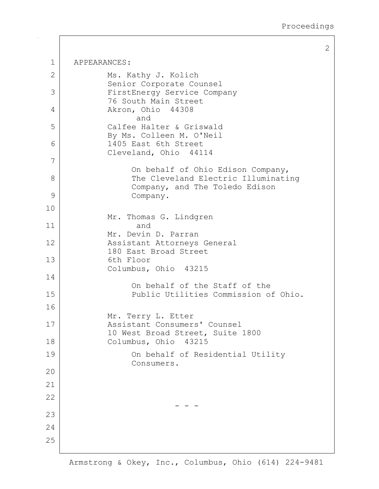1 APPEARANCES: 2 Ms. Kathy J. Kolich Senior Corporate Counsel 3 FirstEnergy Service Company 76 South Main Street 4 Akron, Ohio 44308 and 5 Calfee Halter & Griswald By Ms. Colleen M. O'Neil 6 1405 East 6th Street Cleveland, Ohio 44114 7 On behalf of Ohio Edison Company, 8 The Cleveland Electric Illuminating Company, and The Toledo Edison 9 Company. 10 Mr. Thomas G. Lindgren 11 and Mr. Devin D. Parran 12 Assistant Attorneys General 180 East Broad Street 13 6th Floor Columbus, Ohio 43215 14 On behalf of the Staff of the 15 Public Utilities Commission of Ohio. 16 Mr. Terry L. Etter 17 Assistant Consumers' Counsel 10 West Broad Street, Suite 1800 18 Columbus, Ohio 43215 19 On behalf of Residential Utility Consumers. 20 21 22 - - - 23 24 25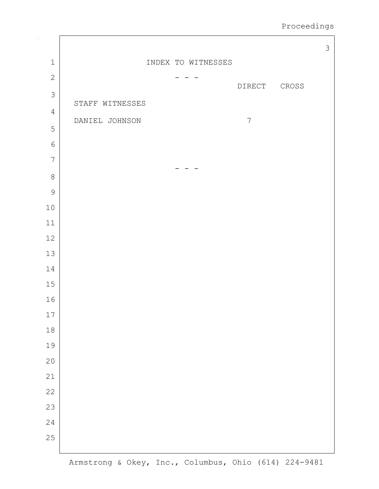Proceedings

|                |                 |                    |                |              | $\mathcal{S}$ |
|----------------|-----------------|--------------------|----------------|--------------|---------------|
| $\mathbf 1$    |                 | INDEX TO WITNESSES |                |              |               |
| $\mathbf{2}$   |                 |                    |                |              |               |
| $\mathcal{S}$  |                 |                    | DIRECT         | ${\tt CROS}$ |               |
| $\sqrt{4}$     | STAFF WITNESSES |                    |                |              |               |
| 5              | DANIEL JOHNSON  |                    | $\overline{7}$ |              |               |
| $\sqrt{6}$     |                 |                    |                |              |               |
| $\overline{7}$ |                 |                    |                |              |               |
| $\,8\,$        |                 |                    |                |              |               |
| $\mathcal{G}$  |                 |                    |                |              |               |
| $10$           |                 |                    |                |              |               |
| $11\,$         |                 |                    |                |              |               |
| 12             |                 |                    |                |              |               |
| 13             |                 |                    |                |              |               |
| $1\,4$         |                 |                    |                |              |               |
| 15             |                 |                    |                |              |               |
| 16             |                 |                    |                |              |               |
| $17$           |                 |                    |                |              |               |
| 18             |                 |                    |                |              |               |
| 19             |                 |                    |                |              |               |
| 20             |                 |                    |                |              |               |
| 21             |                 |                    |                |              |               |
| 22             |                 |                    |                |              |               |
| 23             |                 |                    |                |              |               |
| 24             |                 |                    |                |              |               |
| 25             |                 |                    |                |              |               |
|                |                 |                    |                |              |               |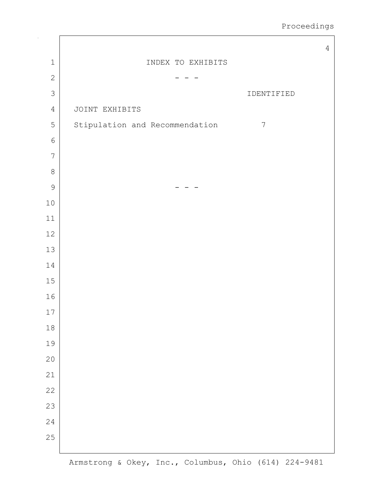|                |                                                  | $\overline{4}$ |
|----------------|--------------------------------------------------|----------------|
| $\mathbf 1$    | INDEX TO EXHIBITS                                |                |
| $\mathbf{2}$   |                                                  |                |
| 3              | IDENTIFIED                                       |                |
| $\sqrt{4}$     | JOINT EXHIBITS                                   |                |
| 5              | Stipulation and Recommendation<br>$\overline{7}$ |                |
| $\sqrt{6}$     |                                                  |                |
| $\overline{7}$ |                                                  |                |
| $\,8\,$        |                                                  |                |
| $\mathcal{G}$  |                                                  |                |
| $10$           |                                                  |                |
| $11\,$         |                                                  |                |
| $12\,$         |                                                  |                |
| $13\,$         |                                                  |                |
| $1\,4$         |                                                  |                |
| 15             |                                                  |                |
| 16             |                                                  |                |
| $17\,$         |                                                  |                |
| 18             |                                                  |                |
| 19             |                                                  |                |
| 20             |                                                  |                |
| 21             |                                                  |                |
| 22             |                                                  |                |
| 23             |                                                  |                |
| 24             |                                                  |                |
| 25             |                                                  |                |
|                |                                                  |                |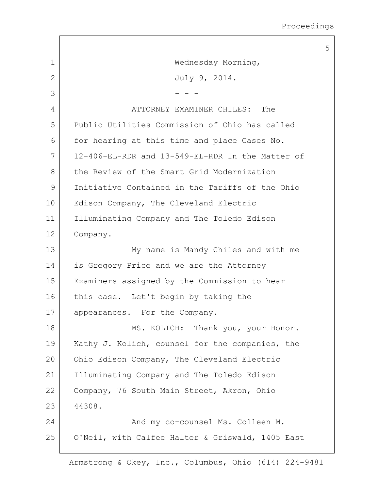|                |                                                  | 5 |
|----------------|--------------------------------------------------|---|
| 1              | Wednesday Morning,                               |   |
| $\overline{2}$ | July 9, 2014.                                    |   |
| 3              |                                                  |   |
| 4              | ATTORNEY EXAMINER CHILES: The                    |   |
| 5              | Public Utilities Commission of Ohio has called   |   |
| 6              | for hearing at this time and place Cases No.     |   |
| 7              | 12-406-EL-RDR and 13-549-EL-RDR In the Matter of |   |
| 8              | the Review of the Smart Grid Modernization       |   |
| 9              | Initiative Contained in the Tariffs of the Ohio  |   |
| 10             | Edison Company, The Cleveland Electric           |   |
| 11             | Illuminating Company and The Toledo Edison       |   |
| 12             | Company.                                         |   |
| 13             | My name is Mandy Chiles and with me              |   |
| 14             | is Gregory Price and we are the Attorney         |   |
| 15             | Examiners assigned by the Commission to hear     |   |
| 16             | this case. Let't begin by taking the             |   |
| 17             | appearances. For the Company.                    |   |
| 18             | MS. KOLICH: Thank you, your Honor.               |   |
| 19             | Kathy J. Kolich, counsel for the companies, the  |   |
| 20             | Ohio Edison Company, The Cleveland Electric      |   |
| 21             | Illuminating Company and The Toledo Edison       |   |
| 22             | Company, 76 South Main Street, Akron, Ohio       |   |
| 23             | 44308.                                           |   |
| 24             | And my co-counsel Ms. Colleen M.                 |   |
| 25             | O'Neil, with Calfee Halter & Griswald, 1405 East |   |

 $\sqrt{ }$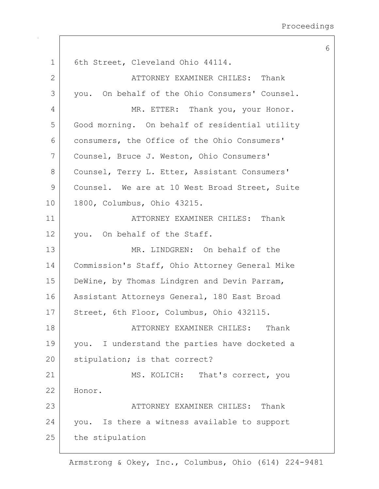6 1 | 6th Street, Cleveland Ohio 44114. 2 ATTORNEY EXAMINER CHILES: Thank 3 you. On behalf of the Ohio Consumers' Counsel. 4 MR. ETTER: Thank you, your Honor. 5 Good morning. On behalf of residential utility 6 consumers, the Office of the Ohio Consumers' 7 Counsel, Bruce J. Weston, Ohio Consumers' 8 Counsel, Terry L. Etter, Assistant Consumers' 9 Counsel. We are at 10 West Broad Street, Suite 10 1800, Columbus, Ohio 43215. 11 ATTORNEY EXAMINER CHILES: Thank 12 | you. On behalf of the Staff. 13 MR. LINDGREN: On behalf of the 14 | Commission's Staff, Ohio Attorney General Mike 15 DeWine, by Thomas Lindgren and Devin Parram, 16 | Assistant Attorneys General, 180 East Broad 17 Street, 6th Floor, Columbus, Ohio 432115. 18 | ATTORNEY EXAMINER CHILES: Thank 19 vou. I understand the parties have docketed a 20 | stipulation; is that correct? 21 MS. KOLICH: That's correct, you 22 Honor. 23 ATTORNEY EXAMINER CHILES: Thank 24 you. Is there a witness available to support 25 the stipulation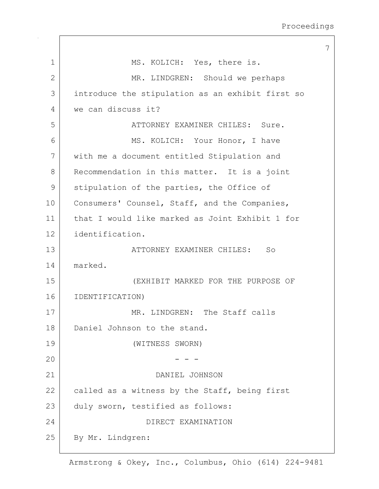| 1              | MS. KOLICH: Yes, there is.                       |
|----------------|--------------------------------------------------|
| $\overline{2}$ | MR. LINDGREN: Should we perhaps                  |
| 3              | introduce the stipulation as an exhibit first so |
| 4              | we can discuss it?                               |
| 5              | ATTORNEY EXAMINER CHILES: Sure.                  |
| 6              | MS. KOLICH: Your Honor, I have                   |
| 7              | with me a document entitled Stipulation and      |
| 8              | Recommendation in this matter. It is a joint     |
| $\mathsf{9}$   | stipulation of the parties, the Office of        |
| 10             | Consumers' Counsel, Staff, and the Companies,    |
| 11             | that I would like marked as Joint Exhibit 1 for  |
| 12             | identification.                                  |
| 13             | ATTORNEY EXAMINER CHILES:<br>So                  |
| 14             | marked.                                          |
| 15             | (EXHIBIT MARKED FOR THE PURPOSE OF               |
| 16             | IDENTIFICATION)                                  |
| 17             | MR. LINDGREN: The Staff calls                    |
| 18             | Daniel Johnson to the stand.                     |
| 19             | (WITNESS SWORN)                                  |
| 20             |                                                  |
| 21             | DANIEL JOHNSON                                   |
| 22             | called as a witness by the Staff, being first    |
| 23             | duly sworn, testified as follows:                |
| 24             | DIRECT EXAMINATION                               |
| 25             | By Mr. Lindgren:                                 |
|                |                                                  |

 $\mathbf{I}$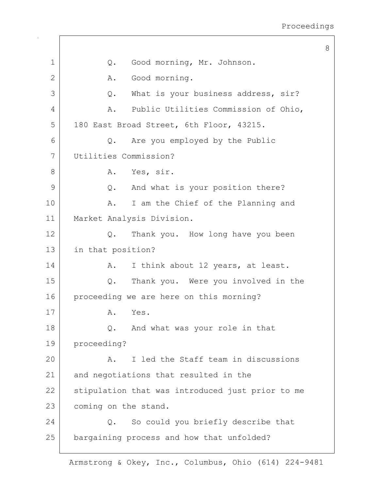1 | Q. Good morning, Mr. Johnson. 2 A. Good morning. 3 Q. What is your business address, sir? 4 A. Public Utilities Commission of Ohio, 5 | 180 East Broad Street, 6th Floor, 43215. 6 Q. Are you employed by the Public 7 Utilities Commission? 8 A. Yes, sir. 9 Q. And what is your position there? 10 | A. I am the Chief of the Planning and 11 Market Analysis Division. 12 Q. Thank you. How long have you been 13 in that position? 14 | A. I think about 12 years, at least. 15 Q. Thank you. Were you involved in the 16 proceeding we are here on this morning? 17 A. Yes. 18 Q. And what was your role in that 19 proceeding? 20 A. I led the Staff team in discussions 21 and negotiations that resulted in the 22 stipulation that was introduced just prior to me 23 coming on the stand. 24 Q. So could you briefly describe that 25 bargaining process and how that unfolded?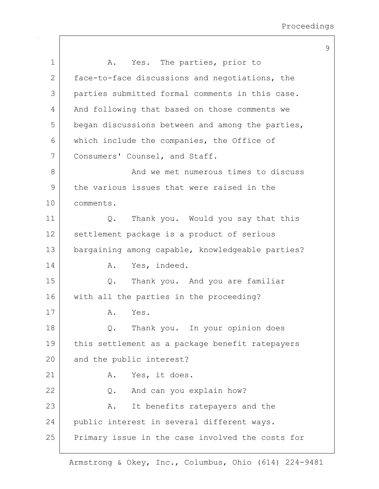| 1              | Yes. The parties, prior to<br>Α.                 |
|----------------|--------------------------------------------------|
| $\overline{2}$ | face-to-face discussions and negotiations, the   |
| 3              | parties submitted formal comments in this case.  |
| 4              | And following that based on those comments we    |
| 5              | began discussions between and among the parties, |
| 6              | which include the companies, the Office of       |
| 7              | Consumers' Counsel, and Staff.                   |
| 8              | And we met numerous times to discuss             |
| $\mathsf{9}$   | the various issues that were raised in the       |
| 10             | comments.                                        |
| 11             | Thank you. Would you say that this<br>Q.         |
| 12             | settlement package is a product of serious       |
| 13             | bargaining among capable, knowledgeable parties? |
| 14             | Yes, indeed.<br>Α.                               |
| 15             | Thank you. And you are familiar<br>Q.            |
| 16             | with all the parties in the proceeding?          |
| 17             | Α.<br>Yes.                                       |
| 18             | Thank you. In your opinion does                  |
| 19             | this settlement as a package benefit ratepayers  |
| 20             | and the public interest?                         |
| 21             | Yes, it does.<br>Α.                              |
| 22             | And can you explain how?<br>Q.                   |
| 23             | It benefits ratepayers and the<br>Α.             |
| 24             | public interest in several different ways.       |
| 25             | Primary issue in the case involved the costs for |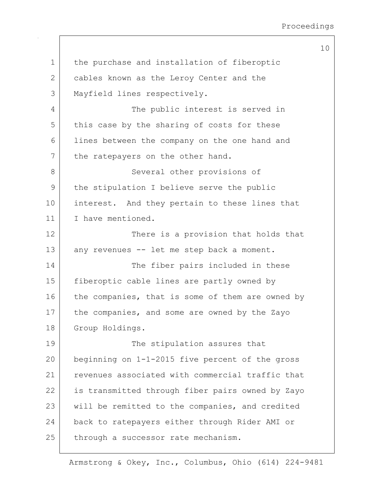| $\mathbf 1$ | the purchase and installation of fiberoptic      |
|-------------|--------------------------------------------------|
| 2           | cables known as the Leroy Center and the         |
| 3           | Mayfield lines respectively.                     |
| 4           | The public interest is served in                 |
| 5           | this case by the sharing of costs for these      |
| 6           | lines between the company on the one hand and    |
| 7           | the ratepayers on the other hand.                |
| 8           | Several other provisions of                      |
| 9           | the stipulation I believe serve the public       |
| 10          | interest. And they pertain to these lines that   |
| 11          | I have mentioned.                                |
| 12          | There is a provision that holds that             |
| 13          | any revenues -- let me step back a moment.       |
| 14          | The fiber pairs included in these                |
| 15          | fiberoptic cable lines are partly owned by       |
| 16          | the companies, that is some of them are owned by |
| 17          | the companies, and some are owned by the Zayo    |
| 18          | Group Holdings.                                  |
| 19          | The stipulation assures that                     |
| 20          | beginning on 1-1-2015 five percent of the gross  |
| 21          | revenues associated with commercial traffic that |
| 22          | is transmitted through fiber pairs owned by Zayo |
| 23          | will be remitted to the companies, and credited  |
| 24          | back to ratepayers either through Rider AMI or   |
| 25          | through a successor rate mechanism.              |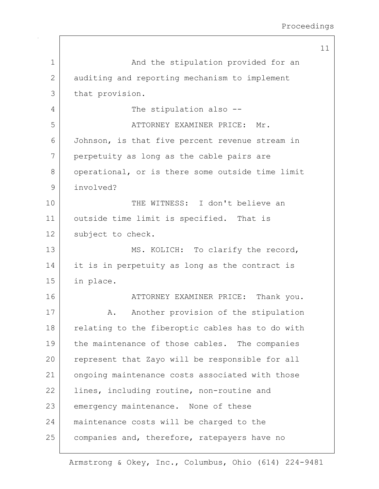11 1 and the stipulation provided for an 2 auditing and reporting mechanism to implement 3 that provision. 4 The stipulation also --5 | ATTORNEY EXAMINER PRICE: Mr. 6 Johnson, is that five percent revenue stream in 7 perpetuity as long as the cable pairs are 8 | operational, or is there some outside time limit 9 involved? 10 THE WITNESS: I don't believe an 11 | outside time limit is specified. That is 12 | subject to check. 13 MS. KOLICH: To clarify the record, 14 it is in perpetuity as long as the contract is 15 in place. 16 ATTORNEY EXAMINER PRICE: Thank you. 17 | A. Another provision of the stipulation 18 relating to the fiberoptic cables has to do with 19 the maintenance of those cables. The companies 20 represent that Zayo will be responsible for all 21 ongoing maintenance costs associated with those 22 | lines, including routine, non-routine and 23 emergency maintenance. None of these 24 maintenance costs will be charged to the 25 companies and, therefore, ratepayers have no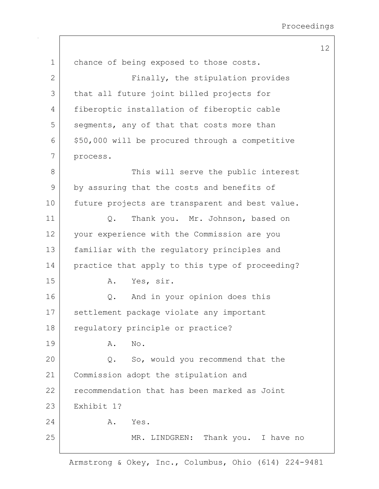| $\mathbf 1$  | chance of being exposed to those costs.         |
|--------------|-------------------------------------------------|
| $\mathbf{2}$ | Finally, the stipulation provides               |
| 3            | that all future joint billed projects for       |
| 4            | fiberoptic installation of fiberoptic cable     |
| 5            | segments, any of that that costs more than      |
| 6            | \$50,000 will be procured through a competitive |
| 7            | process.                                        |
| 8            | This will serve the public interest             |
| $\mathsf 9$  | by assuring that the costs and benefits of      |
| 10           | future projects are transparent and best value. |
| 11           | Thank you. Mr. Johnson, based on<br>Q.          |
| 12           | your experience with the Commission are you     |
| 13           | familiar with the regulatory principles and     |
| 14           | practice that apply to this type of proceeding? |
| 15           | Yes, sir.<br>Α.                                 |
| 16           | And in your opinion does this<br>Q.             |
| 17           | settlement package violate any important        |
| 18           | regulatory principle or practice?               |
| 19           | No.<br>Α.                                       |
| 20           | So, would you recommend that the<br>Q.          |
| 21           | Commission adopt the stipulation and            |
| 22           | recommendation that has been marked as Joint    |
| 23           | Exhibit 1?                                      |
| 24           | Yes.<br>Α.                                      |
| 25           | MR. LINDGREN: Thank you. I have no              |
|              |                                                 |

Armstrong & Okey, Inc., Columbus, Ohio (614) 224-9481

## 12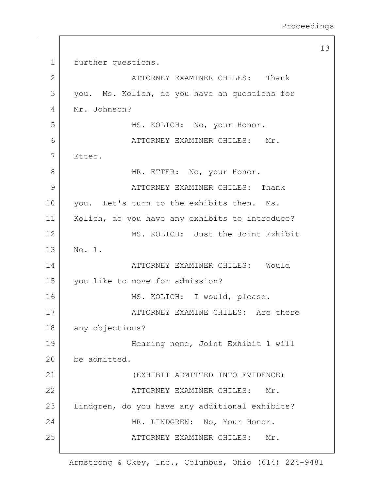13 1 further questions. 2 ATTORNEY EXAMINER CHILES: Thank 3 you. Ms. Kolich, do you have an questions for 4 Mr. Johnson? 5 MS. KOLICH: No, your Honor. 6 ATTORNEY EXAMINER CHILES: Mr. 7 Etter. 8 | MR. ETTER: No, your Honor. 9 ATTORNEY EXAMINER CHILES: Thank 10 you. Let's turn to the exhibits then. Ms. 11 | Kolich, do you have any exhibits to introduce? 12 MS. KOLICH: Just the Joint Exhibit 13 No. 1. 14 | ATTORNEY EXAMINER CHILES: Would 15 you like to move for admission? 16 MS. KOLICH: I would, please. 17 ATTORNEY EXAMINE CHILES: Are there 18 any objections? 19 Hearing none, Joint Exhibit 1 will 20 be admitted. 21 (EXHIBIT ADMITTED INTO EVIDENCE) 22 | ATTORNEY EXAMINER CHILES: Mr. 23 Lindgren, do you have any additional exhibits? 24 MR. LINDGREN: No, Your Honor. 25 ATTORNEY EXAMINER CHILES: Mr.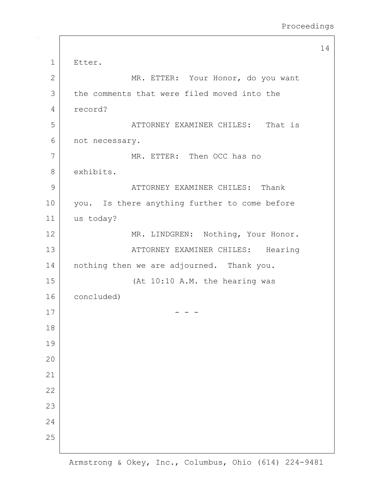```
14
1 Etter.
2 MR. ETTER: Your Honor, do you want
 3 the comments that were filed moved into the
 4 record? 
 5 |                       ATTORNEY EXAMINER CHILES:     That is
 6 not necessary.
7 MR. ETTER: Then OCC has no
8 exhibits.
9 |                                 ATTORNEY EXAMINER CHILES:     Thank
10 | you. Is there anything further to come before
11 us today? 
12 | MR. LINDGREN: Nothing, Your Honor.
13 |                 ATTORNEY EXAMINER CHILES:     Hearing
14 | nothing then we are adjourned. Thank you.
15 (At 10:10 A.M. the hearing was
16 concluded) 
17 - - -
18
19
20
21
22
23
24
25
```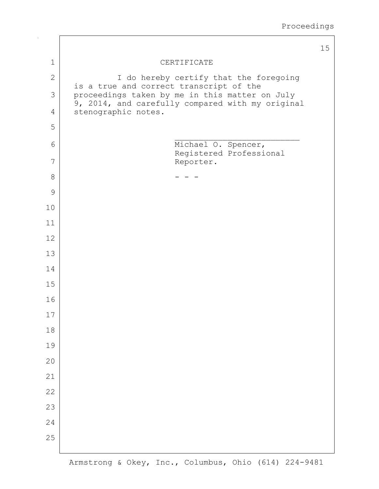|                |                                                                                           | 15 |
|----------------|-------------------------------------------------------------------------------------------|----|
| $\mathbf 1$    | CERTIFICATE                                                                               |    |
| $\mathbf 2$    | I do hereby certify that the foregoing                                                    |    |
| 3              | is a true and correct transcript of the<br>proceedings taken by me in this matter on July |    |
| $\overline{4}$ | 9, 2014, and carefully compared with my original<br>stenographic notes.                   |    |
| 5              |                                                                                           |    |
| 6              | Michael O. Spencer,                                                                       |    |
| 7              | Registered Professional<br>Reporter.                                                      |    |
| 8              |                                                                                           |    |
| 9              |                                                                                           |    |
| 10             |                                                                                           |    |
| 11             |                                                                                           |    |
| 12             |                                                                                           |    |
| 13             |                                                                                           |    |
| 14             |                                                                                           |    |
| 15             |                                                                                           |    |
| 16             |                                                                                           |    |
| 17             |                                                                                           |    |
| 18             |                                                                                           |    |
| 19             |                                                                                           |    |
| 20             |                                                                                           |    |
| 21             |                                                                                           |    |
| 22             |                                                                                           |    |
| 23             |                                                                                           |    |
| 24             |                                                                                           |    |
| 25             |                                                                                           |    |
|                |                                                                                           |    |

 $\Gamma$